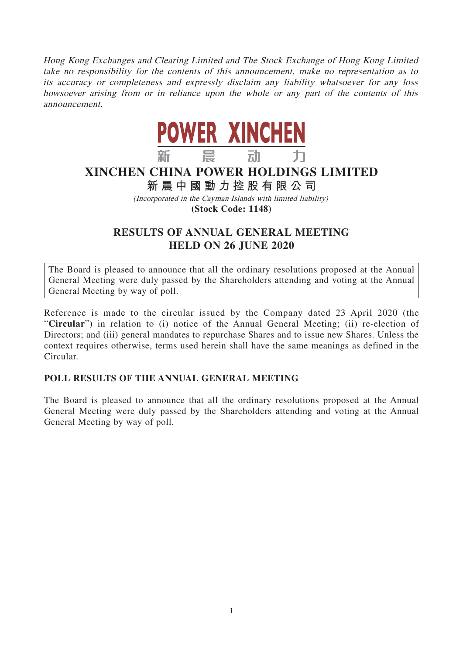Hong Kong Exchanges and Clearing Limited and The Stock Exchange of Hong Kong Limited take no responsibility for the contents of this announcement, make no representation as to its accuracy or completeness and expressly disclaim any liability whatsoever for any loss howsoever arising from or in reliance upon the whole or any part of the contents of this announcement.



## **XINCHEN CHINA POWER HOLDINGS LIMITED**

**新晨中國動力控股有限公司**

(Incorporated in the Cayman Islands with limited liability)

**(Stock Code: 1148)**

## **RESULTS OF ANNUAL GENERAL MEETING HELD ON 26 JUNE 2020**

The Board is pleased to announce that all the ordinary resolutions proposed at the Annual General Meeting were duly passed by the Shareholders attending and voting at the Annual General Meeting by way of poll.

Reference is made to the circular issued by the Company dated 23 April 2020 (the "**Circular**") in relation to (i) notice of the Annual General Meeting; (ii) re-election of Directors; and (iii) general mandates to repurchase Shares and to issue new Shares. Unless the context requires otherwise, terms used herein shall have the same meanings as defined in the Circular.

## **POLL RESULTS OF THE ANNUAL GENERAL MEETING**

The Board is pleased to announce that all the ordinary resolutions proposed at the Annual General Meeting were duly passed by the Shareholders attending and voting at the Annual General Meeting by way of poll.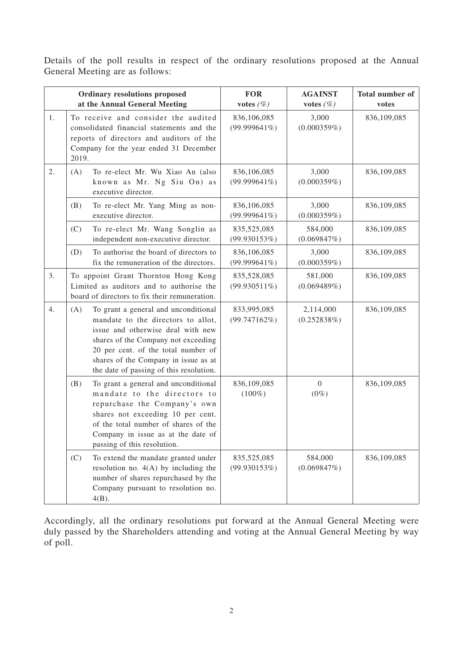Details of the poll results in respect of the ordinary resolutions proposed at the Annual General Meeting are as follows:

| Ordinary resolutions proposed<br>at the Annual General Meeting |                                                                                                                                  |                                                                                                                                                                                                                                                                                  | <b>FOR</b><br>votes $(\%)$     | <b>AGAINST</b><br>votes $(\%)$ | <b>Total number of</b><br>votes |
|----------------------------------------------------------------|----------------------------------------------------------------------------------------------------------------------------------|----------------------------------------------------------------------------------------------------------------------------------------------------------------------------------------------------------------------------------------------------------------------------------|--------------------------------|--------------------------------|---------------------------------|
| 1.                                                             | 2019.                                                                                                                            | To receive and consider the audited<br>consolidated financial statements and the<br>reports of directors and auditors of the<br>Company for the year ended 31 December                                                                                                           | 836,106,085<br>$(99.999641\%)$ | 3,000<br>(0.000359%)           | 836,109,085                     |
| 2.                                                             | (A)                                                                                                                              | To re-elect Mr. Wu Xiao An (also<br>known as Mr. Ng Siu On) as<br>executive director.                                                                                                                                                                                            | 836,106,085<br>$(99.999641\%)$ | 3,000<br>(0.000359%)           | 836,109,085                     |
|                                                                | (B)                                                                                                                              | To re-elect Mr. Yang Ming as non-<br>executive director.                                                                                                                                                                                                                         | 836,106,085<br>$(99.999641\%)$ | 3,000<br>(0.000359%)           | 836,109,085                     |
|                                                                | (C)                                                                                                                              | To re-elect Mr. Wang Songlin as<br>independent non-executive director.                                                                                                                                                                                                           | 835,525,085<br>(99.930153%)    | 584,000<br>(0.069847%)         | 836,109,085                     |
|                                                                | (D)                                                                                                                              | To authorise the board of directors to<br>fix the remuneration of the directors.                                                                                                                                                                                                 | 836,106,085<br>$(99.999641\%)$ | 3,000<br>(0.000359%)           | 836,109,085                     |
| 3.                                                             | To appoint Grant Thornton Hong Kong<br>Limited as auditors and to authorise the<br>board of directors to fix their remuneration. |                                                                                                                                                                                                                                                                                  | 835,528,085<br>$(99.930511\%)$ | 581,000<br>(0.069489%)         | 836,109,085                     |
| 4.                                                             | (A)                                                                                                                              | To grant a general and unconditional<br>mandate to the directors to allot,<br>issue and otherwise deal with new<br>shares of the Company not exceeding<br>20 per cent. of the total number of<br>shares of the Company in issue as at<br>the date of passing of this resolution. | 833,995,085<br>(99.747162%)    | 2,114,000<br>(0.252838%)       | 836,109,085                     |
|                                                                | (B)                                                                                                                              | To grant a general and unconditional<br>mandate to the directors to<br>repurchase the Company's own<br>shares not exceeding 10 per cent.<br>of the total number of shares of the<br>Company in issue as at the date of<br>passing of this resolution.                            | 836,109,085<br>$(100\%)$       | $\overline{0}$<br>$(0\%)$      | 836,109,085                     |
|                                                                | (C)                                                                                                                              | To extend the mandate granted under<br>resolution no. $4(A)$ by including the<br>number of shares repurchased by the<br>Company pursuant to resolution no.<br>$4(B)$ .                                                                                                           | 835,525,085<br>(99.930153%)    | 584,000<br>(0.069847%)         | 836,109,085                     |

Accordingly, all the ordinary resolutions put forward at the Annual General Meeting were duly passed by the Shareholders attending and voting at the Annual General Meeting by way of poll.